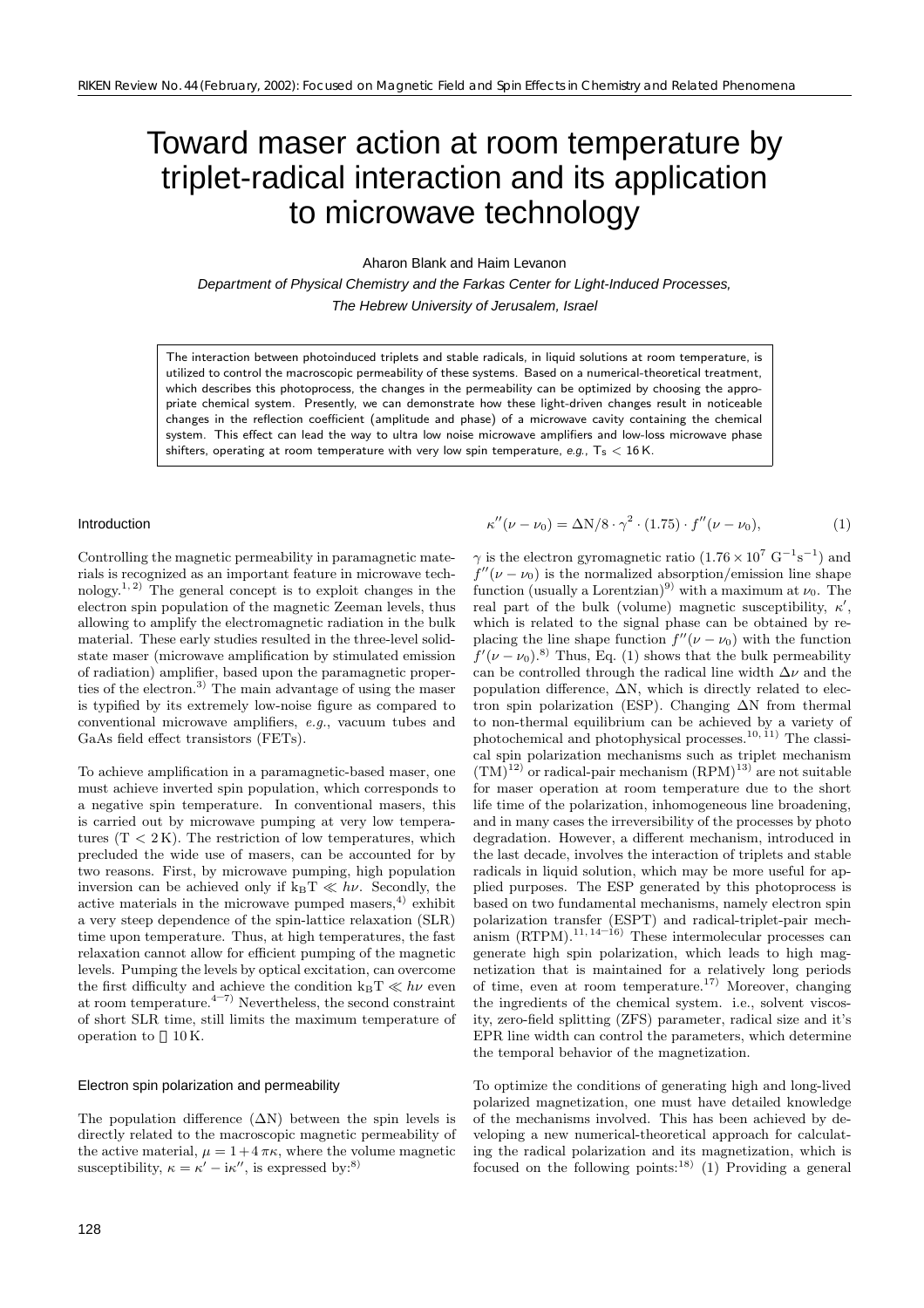# Toward maser action at room temperature by triplet-radical interaction and its application to microwave technology

Aharon Blank and Haim Levanon

Department of Physical Chemistry and the Farkas Center for Light-Induced Processes, The Hebrew University of Jerusalem, Israel

The interaction between photoinduced triplets and stable radicals, in liquid solutions at room temperature, is utilized to control the macroscopic permeability of these systems. Based on a numerical-theoretical treatment, which describes this photoprocess, the changes in the permeability can be optimized by choosing the appropriate chemical system. Presently, we can demonstrate how these light-driven changes result in noticeable changes in the reflection coefficient (amplitude and phase) of a microwave cavity containing the chemical system. This effect can lead the way to ultra low noise microwave amplifiers and low-loss microwave phase shifters, operating at room temperature with very low spin temperature, e.g.,  $T_s < 16$  K.

# Introduction

Controlling the magnetic permeability in paramagnetic materials is recognized as an important feature in microwave technology.<sup>1, 2)</sup> The general concept is to exploit changes in the electron spin population of the magnetic Zeeman levels, thus allowing to amplify the electromagnetic radiation in the bulk material. These early studies resulted in the three-level solidstate maser (microwave amplification by stimulated emission of radiation) amplifier, based upon the paramagnetic properties of the electron.3) The main advantage of using the maser is typified by its extremely low-noise figure as compared to conventional microwave amplifiers, *e.g.*, vacuum tubes and GaAs field effect transistors (FETs).

To achieve amplification in a paramagnetic-based maser, one must achieve inverted spin population, which corresponds to a negative spin temperature. In conventional masers, this is carried out by microwave pumping at very low temperatures  $(T < 2K)$ . The restriction of low temperatures, which precluded the wide use of masers, can be accounted for by two reasons. First, by microwave pumping, high population inversion can be achieved only if  $k_BT \ll h\nu$ . Secondly, the active materials in the microwave pumped masers, $4$ ) exhibit a very steep dependence of the spin-lattice relaxation (SLR) time upon temperature. Thus, at high temperatures, the fast relaxation cannot allow for efficient pumping of the magnetic levels. Pumping the levels by optical excitation, can overcome the first difficulty and achieve the condition  $k_BT \ll h\nu$  even<br>at room temperature.<sup>4–7)</sup> Nevertheless, the second constraint of short SLR time, still limits the maximum temperature of operation to 10 K.

#### Electron spin polarization and permeability

The population difference  $(∆N)$  between the spin levels is directly related to the macroscopic magnetic permeability of the active material,  $\mu = 1 + 4\pi\kappa$ , where the volume magnetic susceptibility,  $\kappa = \kappa' - i\kappa''$ , is expressed by:<sup>8)</sup>

$$
\kappa''(\nu - \nu_0) = \Delta N/8 \cdot \gamma^2 \cdot (1.75) \cdot f''(\nu - \nu_0),\tag{1}
$$

 $\gamma$  is the electron gyromagnetic ratio  $(1.76 \times 10^7 \text{ G}^{-1} \text{s}^{-1})$  and  $f''(\nu - \nu_0)$  is the normalized absorption/emission line shape function (usually a Lorentzian)<sup>9)</sup> with a maximum at  $\nu_0$ . The real part of the bulk (volume) magnetic susceptibility,  $\kappa'$ , which is related to the signal phase can be obtained by replacing the line shape function  $f''(\nu - \nu_0)$  with the function  $f'(\nu-\nu_0)^{8}$  Thus, Eq. (1) shows that the bulk permeability can be controlled through the radical line width  $\Delta \nu$  and the population difference,  $\Delta N$ , which is directly related to electron spin polarization (ESP). Changing ∆N from thermal to non-thermal equilibrium can be achieved by a variety of photochemical and photophysical processes.<sup>10, 11</sup>) The classical spin polarization mechanisms such as triplet mechanism  $(TM)^{12)}$  or radical-pair mechanism  $(RPM)^{13}$  are not suitable for maser operation at room temperature due to the short life time of the polarization, inhomogeneous line broadening, and in many cases the irreversibility of the processes by photo degradation. However, a different mechanism, introduced in the last decade, involves the interaction of triplets and stable radicals in liquid solution, which may be more useful for applied purposes. The ESP generated by this photoprocess is based on two fundamental mechanisms, namely electron spin polarization transfer (ESPT) and radical-triplet-pair mech-<br>anism (RTPM).<sup>11, 14–16</sup>) These intermolecular processes can generate high spin polarization, which leads to high magnetization that is maintained for a relatively long periods of time, even at room temperature.17) Moreover, changing the ingredients of the chemical system. i.e., solvent viscosity, zero-field splitting (ZFS) parameter, radical size and it's EPR line width can control the parameters, which determine the temporal behavior of the magnetization.

To optimize the conditions of generating high and long-lived polarized magnetization, one must have detailed knowledge of the mechanisms involved. This has been achieved by developing a new numerical-theoretical approach for calculating the radical polarization and its magnetization, which is focused on the following points:<sup>18)</sup> (1) Providing a general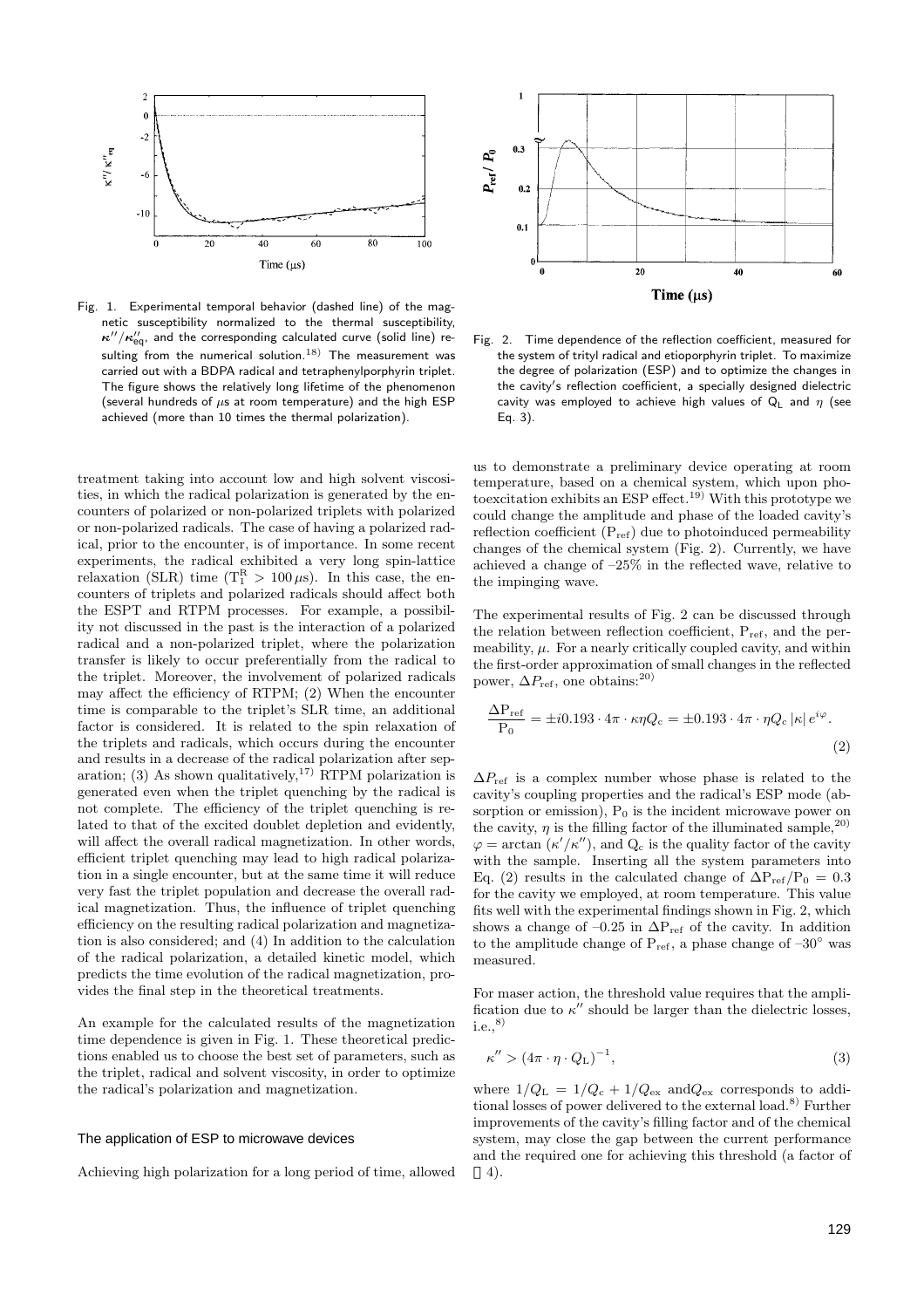

Fig. 1. Experimental temporal behavior (dashed line) of the magnetic susceptibility normalized to the thermal susceptibility,  $\kappa^{\prime\prime}/\kappa^{\prime\prime}_\mathrm{eq}$ , and the corresponding calculated curve (solid line) resulting from the numerical solution.<sup>18)</sup> The measurement was carried out with a BDPA radical and tetraphenylporphyrin triplet. The figure shows the relatively long lifetime of the phenomenon (several hundreds of  $\mu$ s at room temperature) and the high ESP achieved (more than 10 times the thermal polarization).

treatment taking into account low and high solvent viscosities, in which the radical polarization is generated by the encounters of polarized or non-polarized triplets with polarized or non-polarized radicals. The case of having a polarized radical, prior to the encounter, is of importance. In some recent experiments, the radical exhibited a very long spin-lattice relaxation (SLR) time  $(T_1^R > 100 \,\mu s)$ . In this case, the encounters of triplets and polarized radicals should affect both the ESPT and RTPM processes. For example, a possibility not discussed in the past is the interaction of a polarized radical and a non-polarized triplet, where the polarization transfer is likely to occur preferentially from the radical to the triplet. Moreover, the involvement of polarized radicals may affect the efficiency of RTPM; (2) When the encounter time is comparable to the triplet's SLR time, an additional factor is considered. It is related to the spin relaxation of the triplets and radicals, which occurs during the encounter and results in a decrease of the radical polarization after separation; (3) As shown qualitatively,<sup>17)</sup> RTPM polarization is generated even when the triplet quenching by the radical is not complete. The efficiency of the triplet quenching is related to that of the excited doublet depletion and evidently, will affect the overall radical magnetization. In other words, efficient triplet quenching may lead to high radical polarization in a single encounter, but at the same time it will reduce very fast the triplet population and decrease the overall radical magnetization. Thus, the influence of triplet quenching efficiency on the resulting radical polarization and magnetization is also considered; and (4) In addition to the calculation of the radical polarization, a detailed kinetic model, which predicts the time evolution of the radical magnetization, provides the final step in the theoretical treatments.

An example for the calculated results of the magnetization time dependence is given in Fig. 1. These theoretical predictions enabled us to choose the best set of parameters, such as the triplet, radical and solvent viscosity, in order to optimize the radical's polarization and magnetization.

## The application of ESP to microwave devices

Achieving high polarization for a long period of time, allowed



Fig. 2. Time dependence of the reflection coefficient, measured for the system of trityl radical and etioporphyrin triplet. To maximize the degree of polarization (ESP) and to optimize the changes in the cavity s reflection coefficient, a specially designed dielectric cavity was employed to achieve high values of  $Q_1$  and  $\eta$  (see Eq. 3).

us to demonstrate a preliminary device operating at room temperature, based on a chemical system, which upon photo excitation exhibits an ESP effect.<sup>19)</sup> With this prototype we could change the amplitude and phase of the loaded cavity's reflection coefficient  $(P_{ref})$  due to photoinduced permeability changes of the chemical system (Fig. 2). Currently, we have achieved a change of –25% in the reflected wave, relative to the impinging wave.

The experimental results of Fig. 2 can be discussed through the relation between reflection coefficient,  $P_{ref}$ , and the permeability,  $\mu$ . For a nearly critically coupled cavity, and within the first-order approximation of small changes in the reflected power,  $\Delta P_{\text{ref}}$ , one obtains:<sup>20)</sup>

$$
\frac{\Delta P_{\text{ref}}}{P_0} = \pm i0.193 \cdot 4\pi \cdot \kappa \eta Q_c = \pm 0.193 \cdot 4\pi \cdot \eta Q_c |\kappa| e^{i\varphi}.
$$
\n(2)

 $\Delta P_{\text{ref}}$  is a complex number whose phase is related to the cavity's coupling properties and the radical's ESP mode (absorption or emission),  $P_0$  is the incident microwave power on the cavity,  $\eta$  is the filling factor of the illuminated sample,<sup>20)</sup>  $\varphi = \arctan (\kappa'/\kappa'')$ , and  $Q_c$  is the quality factor of the cavity with the sample. Inserting all the system parameters into Eq. (2) results in the calculated change of  $\Delta P_{ref}/P_0 = 0.3$ for the cavity we employed, at room temperature. This value fits well with the experimental findings shown in Fig. 2, which shows a change of –0.25 in  $\Delta P_{ref}$  of the cavity. In addition to the amplitude change of  $P_{ref}$ , a phase change of  $-30°$  was measured.

For maser action, the threshold value requires that the amplification due to  $\kappa''$  should be larger than the dielectric losses, i.e., $^{8)}$ 

$$
\kappa'' > (4\pi \cdot \eta \cdot Q_{\rm L})^{-1},\tag{3}
$$

where  $1/Q_L = 1/Q_c + 1/Q_{ex}$  and  $Q_{ex}$  corresponds to additional losses of power delivered to the external load.8) Further improvements of the cavity's filling factor and of the chemical system, may close the gap between the current performance and the required one for achieving this threshold (a factor of 4).